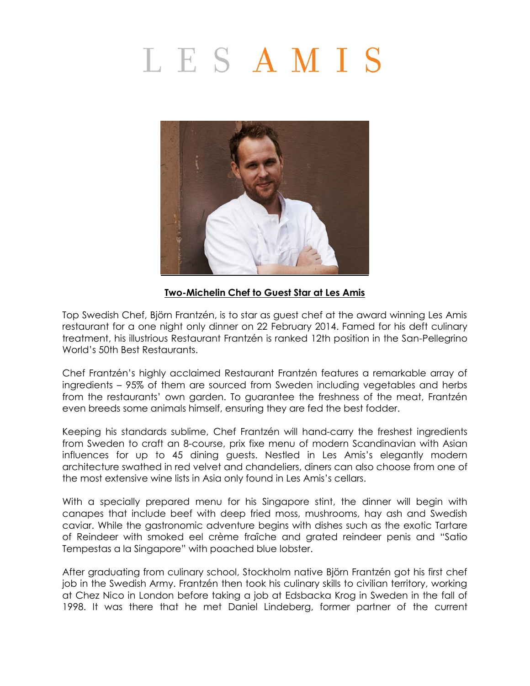## LESAMIS



## **Two-Michelin Chef to Guest Star at Les Amis**

Top Swedish Chef, Björn Frantzén, is to star as guest chef at the award winning Les Amis restaurant for a one night only dinner on 22 February 2014. Famed for his deft culinary treatment, his illustrious Restaurant Frantzén is ranked 12th position in the San-Pellegrino World's 50th Best Restaurants.

Chef Frantzén's highly acclaimed Restaurant Frantzén features a remarkable array of ingredients – 95% of them are sourced from Sweden including vegetables and herbs from the restaurants' own garden. To guarantee the freshness of the meat, Frantzén even breeds some animals himself, ensuring they are fed the best fodder.

Keeping his standards sublime, Chef Frantzén will hand-carry the freshest ingredients from Sweden to craft an 8-course, prix fixe menu of modern Scandinavian with Asian influences for up to 45 dining guests. Nestled in Les Amis's elegantly modern architecture swathed in red velvet and chandeliers, diners can also choose from one of the most extensive wine lists in Asia only found in Les Amis's cellars.

With a specially prepared menu for his Singapore stint, the dinner will begin with canapes that include beef with deep fried moss, mushrooms, hay ash and Swedish caviar. While the gastronomic adventure begins with dishes such as the exotic Tartare of Reindeer with smoked eel crème fraîche and grated reindeer penis and "Satio Tempestas a la Singapore" with poached blue lobster.

After graduating from culinary school, Stockholm native Björn Frantzén got his first chef job in the Swedish Army. Frantzén then took his culinary skills to civilian territory, working at Chez Nico in London before taking a job at Edsbacka Krog in Sweden in the fall of 1998. It was there that he met Daniel Lindeberg, former partner of the current